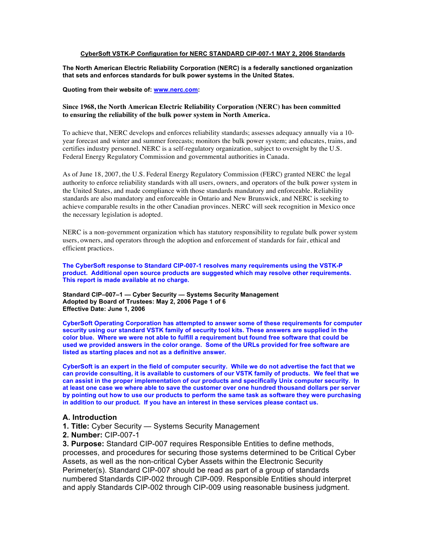### **CyberSoft VSTK-P Configuration for NERC STANDARD CIP-007-1 MAY 2, 2006 Standards**

**The North American Electric Reliability Corporation (NERC) is a federally sanctioned organization that sets and enforces standards for bulk power systems in the United States.** 

**Quoting from their website of: www.nerc.com:**

### **Since 1968, the North American Electric Reliability Corporation (NERC) has been committed to ensuring the reliability of the bulk power system in North America.**

To achieve that, NERC develops and enforces reliability standards; assesses adequacy annually via a 10 year forecast and winter and summer forecasts; monitors the bulk power system; and educates, trains, and certifies industry personnel. NERC is a self-regulatory organization, subject to oversight by the U.S. Federal Energy Regulatory Commission and governmental authorities in Canada.

As of June 18, 2007, the U.S. Federal Energy Regulatory Commission (FERC) granted NERC the legal authority to enforce reliability standards with all users, owners, and operators of the bulk power system in the United States, and made compliance with those standards mandatory and enforceable. Reliability standards are also mandatory and enforceable in Ontario and New Brunswick, and NERC is seeking to achieve comparable results in the other Canadian provinces. NERC will seek recognition in Mexico once the necessary legislation is adopted.

NERC is a non-government organization which has statutory responsibility to regulate bulk power system users, owners, and operators through the adoption and enforcement of standards for fair, ethical and efficient practices.

**The CyberSoft response to Standard CIP-007-1 resolves many requirements using the VSTK-P product. Additional open source products are suggested which may resolve other requirements. This report is made available at no charge.**

**Standard CIP–007–1 — Cyber Security — Systems Security Management Adopted by Board of Trustees: May 2, 2006 Page 1 of 6 Effective Date: June 1, 2006**

**CyberSoft Operating Corporation has attempted to answer some of these requirements for computer security using our standard VSTK family of security tool kits. These answers are supplied in the color blue. Where we were not able to fulfill a requirement but found free software that could be used we provided answers in the color orange. Some of the URLs provided for free software are listed as starting places and not as a definitive answer.**

**CyberSoft is an expert in the field of computer security. While we do not advertise the fact that we can provide consulting, it is available to customers of our VSTK family of products. We feel that we can assist in the proper implementation of our products and specifically Unix computer security. In at least one case we where able to save the customer over one hundred thousand dollars per server by pointing out how to use our products to perform the same task as software they were purchasing in addition to our product. If you have an interest in these services please contact us.** 

### **A. Introduction**

- **1. Title:** Cyber Security Systems Security Management
- **2. Number:** CIP-007-1

**3. Purpose:** Standard CIP-007 requires Responsible Entities to define methods, processes, and procedures for securing those systems determined to be Critical Cyber Assets, as well as the non-critical Cyber Assets within the Electronic Security Perimeter(s). Standard CIP-007 should be read as part of a group of standards numbered Standards CIP-002 through CIP-009. Responsible Entities should interpret and apply Standards CIP-002 through CIP-009 using reasonable business judgment.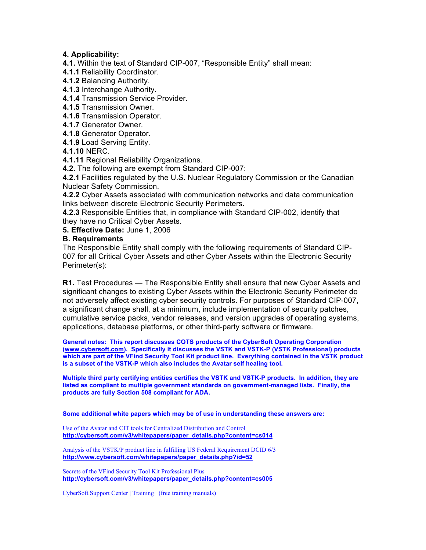### **4. Applicability:**

- **4.1.** Within the text of Standard CIP-007, "Responsible Entity" shall mean:
- **4.1.1** Reliability Coordinator.
- **4.1.2** Balancing Authority.
- **4.1.3** Interchange Authority.
- **4.1.4** Transmission Service Provider.
- **4.1.5** Transmission Owner.
- **4.1.6** Transmission Operator.
- **4.1.7** Generator Owner.
- **4.1.8** Generator Operator.
- **4.1.9** Load Serving Entity.
- **4.1.10** NERC.
- **4.1.11** Regional Reliability Organizations.
- **4.2.** The following are exempt from Standard CIP-007:
- **4.2.1** Facilities regulated by the U.S. Nuclear Regulatory Commission or the Canadian Nuclear Safety Commission.
- **4.2.2** Cyber Assets associated with communication networks and data communication links between discrete Electronic Security Perimeters.
- **4.2.3** Responsible Entities that, in compliance with Standard CIP-002, identify that they have no Critical Cyber Assets.
- **5. Effective Date:** June 1, 2006

### **B. Requirements**

The Responsible Entity shall comply with the following requirements of Standard CIP-007 for all Critical Cyber Assets and other Cyber Assets within the Electronic Security Perimeter(s):

**R1.** Test Procedures — The Responsible Entity shall ensure that new Cyber Assets and significant changes to existing Cyber Assets within the Electronic Security Perimeter do not adversely affect existing cyber security controls. For purposes of Standard CIP-007, a significant change shall, at a minimum, include implementation of security patches, cumulative service packs, vendor releases, and version upgrades of operating systems, applications, database platforms, or other third-party software or firmware.

**General notes: This report discusses COTS products of the CyberSoft Operating Corporation (www.cybersoft.com). Specifically it discusses the VSTK and VSTK-P (VSTK Professional) products which are part of the VFind Security Tool Kit product line. Everything contained in the VSTK product is a subset of the VSTK-P which also includes the Avatar self healing tool.**

**Multiple third party certifying entities certifies the VSTK and VSTK-P products. In addition, they are listed as compliant to multiple government standards on government-managed lists. Finally, the products are fully Section 508 compliant for ADA.**

**Some additional white papers which may be of use in understanding these answers are:**

Use of the Avatar and CIT tools for Centralized Distribution and Control **http://cybersoft.com/v3/whitepapers/paper\_details.php?content=cs014**

Analysis of the VSTK/P product line in fulfilling US Federal Requirement DCID 6/3 **http://www.cybersoft.com/whitepapers/paper\_details.php?id=52**

Secrets of the VFind Security Tool Kit Professional Plus **http://cybersoft.com/v3/whitepapers/paper\_details.php?content=cs005**

CyberSoft Support Center | Training (free training manuals)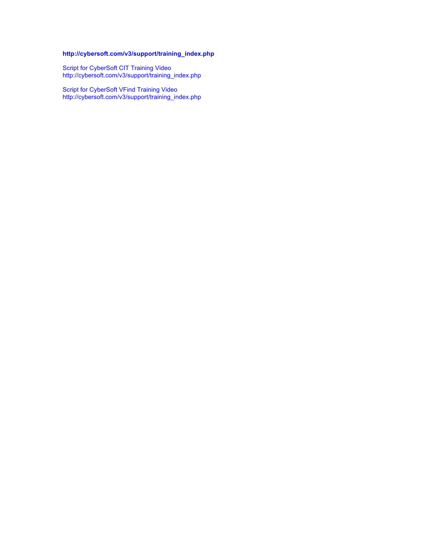### **http://cybersoft.com/v3/support/training\_index.php**

Script for CyberSoft CIT Training Video http://cybersoft.com/v3/support/training\_index.php

Script for CyberSoft VFind Training Video http://cybersoft.com/v3/support/training\_index.php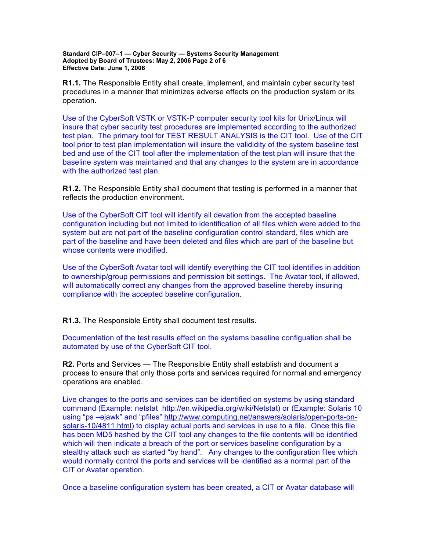**Standard CIP–007–1 — Cyber Security — Systems Security Management Adopted by Board of Trustees: May 2, 2006 Page 2 of 6 Effective Date: June 1, 2006**

**R1.1.** The Responsible Entity shall create, implement, and maintain cyber security test procedures in a manner that minimizes adverse effects on the production system or its operation.

Use of the CyberSoft VSTK or VSTK-P computer security tool kits for Unix/Linux will insure that cyber security test procedures are implemented according to the authorized test plan. The primary tool for TEST RESULT ANALYSIS is the CIT tool. Use of the CIT tool prior to test plan implementation will insure the valididity of the system baseline test bed and use of the CIT tool after the implementation of the test plan will insure that the baseline system was maintained and that any changes to the system are in accordance with the authorized test plan.

**R1.2.** The Responsible Entity shall document that testing is performed in a manner that reflects the production environment.

Use of the CyberSoft CIT tool will identify all devation from the accepted baseline configuration including but not limited to identification of all files which were added to the system but are not part of the baseline configuration control standard, files which are part of the baseline and have been deleted and files which are part of the baseline but whose contents were modified.

Use of the CyberSoft Avatar tool will identify everything the CIT tool identifies in addition to ownership/group permissions and permission bit settings. The Avatar tool, if allowed, will automatically correct any changes from the approved baseline thereby insuring compliance with the accepted baseline configuration.

**R1.3.** The Responsible Entity shall document test results.

Documentation of the test results effect on the systems baseline configuation shall be automated by use of the CyberSoft CIT tool.

**R2.** Ports and Services — The Responsible Entity shall establish and document a process to ensure that only those ports and services required for normal and emergency operations are enabled.

Live changes to the ports and services can be identified on systems by using standard command (Example: netstat http://en.wikipedia.org/wiki/Netstat) or (Example: Solaris 10 using "ps –ejawk" and "pfiles" http://www.computing.net/answers/solaris/open-ports-onsolaris-10/4811.html) to display actual ports and services in use to a file. Once this file has been MD5 hashed by the CIT tool any changes to the file contents will be identified which will then indicate a breach of the port or services baseline configuration by a stealthy attack such as started "by hand". Any changes to the configuration files which would normally control the ports and services will be identified as a normal part of the CIT or Avatar operation.

Once a baseline configuration system has been created, a CIT or Avatar database will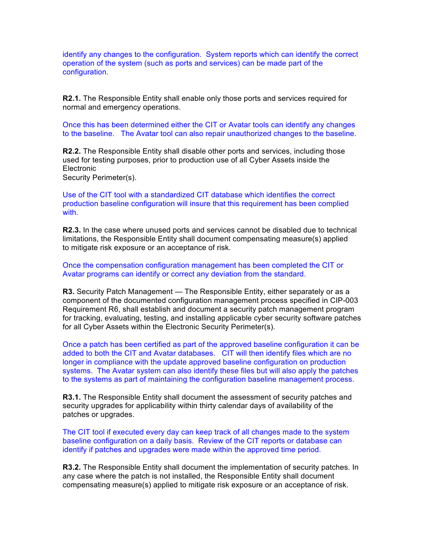identify any changes to the configuration. System reports which can identify the correct operation of the system (such as ports and services) can be made part of the configuration.

**R2.1.** The Responsible Entity shall enable only those ports and services required for normal and emergency operations.

Once this has been determined either the CIT or Avatar tools can identify any changes to the baseline. The Avatar tool can also repair unauthorized changes to the baseline.

**R2.2.** The Responsible Entity shall disable other ports and services, including those used for testing purposes, prior to production use of all Cyber Assets inside the **Electronic** 

Security Perimeter(s).

Use of the CIT tool with a standardized CIT database which identifies the correct production baseline configuration will insure that this requirement has been complied with.

**R2.3.** In the case where unused ports and services cannot be disabled due to technical limitations, the Responsible Entity shall document compensating measure(s) applied to mitigate risk exposure or an acceptance of risk.

Once the compensation configuration management has been completed the CIT or Avatar programs can identify or correct any deviation from the standard.

**R3.** Security Patch Management — The Responsible Entity, either separately or as a component of the documented configuration management process specified in CIP-003 Requirement R6, shall establish and document a security patch management program for tracking, evaluating, testing, and installing applicable cyber security software patches for all Cyber Assets within the Electronic Security Perimeter(s).

Once a patch has been certified as part of the approved baseline configuration it can be added to both the CIT and Avatar databases. CIT will then identify files which are no longer in compliance with the update approved baseline configuration on production systems. The Avatar system can also identify these files but will also apply the patches to the systems as part of maintaining the configuration baseline management process.

**R3.1.** The Responsible Entity shall document the assessment of security patches and security upgrades for applicability within thirty calendar days of availability of the patches or upgrades.

The CIT tool if executed every day can keep track of all changes made to the system baseline configuration on a daily basis. Review of the CIT reports or database can identify if patches and upgrades were made within the approved time period.

**R3.2.** The Responsible Entity shall document the implementation of security patches. In any case where the patch is not installed, the Responsible Entity shall document compensating measure(s) applied to mitigate risk exposure or an acceptance of risk.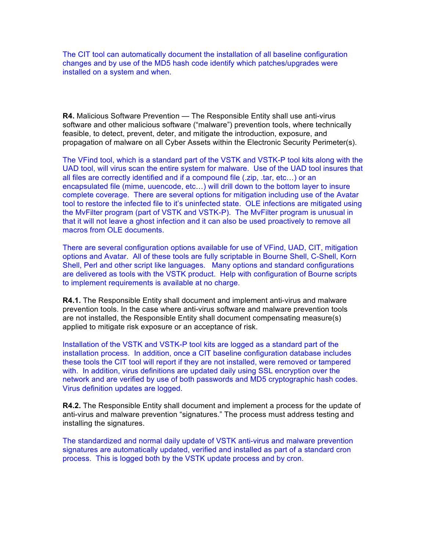The CIT tool can automatically document the installation of all baseline configuration changes and by use of the MD5 hash code identify which patches/upgrades were installed on a system and when.

**R4.** Malicious Software Prevention — The Responsible Entity shall use anti-virus software and other malicious software ("malware") prevention tools, where technically feasible, to detect, prevent, deter, and mitigate the introduction, exposure, and propagation of malware on all Cyber Assets within the Electronic Security Perimeter(s).

The VFind tool, which is a standard part of the VSTK and VSTK-P tool kits along with the UAD tool, will virus scan the entire system for malware. Use of the UAD tool insures that all files are correctly identified and if a compound file (.zip, .tar, etc…) or an encapsulated file (mime, uuencode, etc…) will drill down to the bottom layer to insure complete coverage. There are several options for mitigation including use of the Avatar tool to restore the infected file to it's uninfected state. OLE infections are mitigated using the MvFilter program (part of VSTK and VSTK-P). The MvFilter program is unusual in that it will not leave a ghost infection and it can also be used proactively to remove all macros from OLE documents.

There are several configuration options available for use of VFind, UAD, CIT, mitigation options and Avatar. All of these tools are fully scriptable in Bourne Shell, C-Shell, Korn Shell, Perl and other script like languages. Many options and standard configurations are delivered as tools with the VSTK product. Help with configuration of Bourne scripts to implement requirements is available at no charge.

**R4.1.** The Responsible Entity shall document and implement anti-virus and malware prevention tools. In the case where anti-virus software and malware prevention tools are not installed, the Responsible Entity shall document compensating measure(s) applied to mitigate risk exposure or an acceptance of risk.

Installation of the VSTK and VSTK-P tool kits are logged as a standard part of the installation process. In addition, once a CIT baseline configuration database includes these tools the CIT tool will report if they are not installed, were removed or tampered with. In addition, virus definitions are updated daily using SSL encryption over the network and are verified by use of both passwords and MD5 cryptographic hash codes. Virus definition updates are logged.

**R4.2.** The Responsible Entity shall document and implement a process for the update of anti-virus and malware prevention "signatures." The process must address testing and installing the signatures.

The standardized and normal daily update of VSTK anti-virus and malware prevention signatures are automatically updated, verified and installed as part of a standard cron process. This is logged both by the VSTK update process and by cron.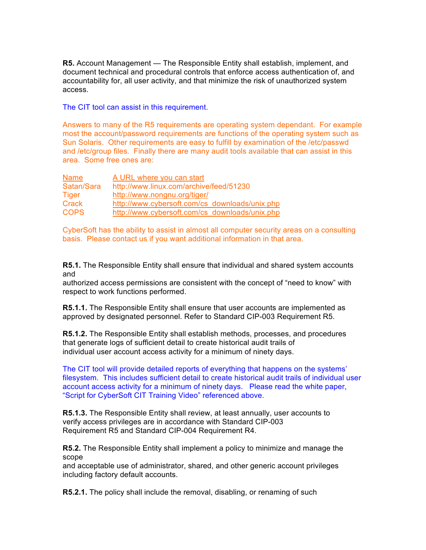**R5.** Account Management — The Responsible Entity shall establish, implement, and document technical and procedural controls that enforce access authentication of, and accountability for, all user activity, and that minimize the risk of unauthorized system access.

The CIT tool can assist in this requirement.

Answers to many of the R5 requirements are operating system dependant. For example most the account/password requirements are functions of the operating system such as Sun Solaris. Other requirements are easy to fulfill by examination of the /etc/passwd and /etc/group files. Finally there are many audit tools available that can assist in this area. Some free ones are:

| Name         | A URL where you can start                      |  |
|--------------|------------------------------------------------|--|
| Satan/Sara   | http://www.linux.com/archive/feed/51230        |  |
| <b>Tiger</b> | http://www.nongnu.org/tiger/                   |  |
| Crack        | http://www.cybersoft.com/cs_downloads/unix.php |  |
| <b>COPS</b>  | http://www.cybersoft.com/cs_downloads/unix.php |  |

CyberSoft has the ability to assist in almost all computer security areas on a consulting basis. Please contact us if you want additional information in that area.

**R5.1.** The Responsible Entity shall ensure that individual and shared system accounts and

authorized access permissions are consistent with the concept of "need to know" with respect to work functions performed.

**R5.1.1.** The Responsible Entity shall ensure that user accounts are implemented as approved by designated personnel. Refer to Standard CIP-003 Requirement R5.

**R5.1.2.** The Responsible Entity shall establish methods, processes, and procedures that generate logs of sufficient detail to create historical audit trails of individual user account access activity for a minimum of ninety days.

The CIT tool will provide detailed reports of everything that happens on the systems' filesystem. This includes sufficient detail to create historical audit trails of individual user account access activity for a minimum of ninety days. Please read the white paper, "Script for CyberSoft CIT Training Video" referenced above.

**R5.1.3.** The Responsible Entity shall review, at least annually, user accounts to verify access privileges are in accordance with Standard CIP-003 Requirement R5 and Standard CIP-004 Requirement R4.

**R5.2.** The Responsible Entity shall implement a policy to minimize and manage the scope

and acceptable use of administrator, shared, and other generic account privileges including factory default accounts.

**R5.2.1.** The policy shall include the removal, disabling, or renaming of such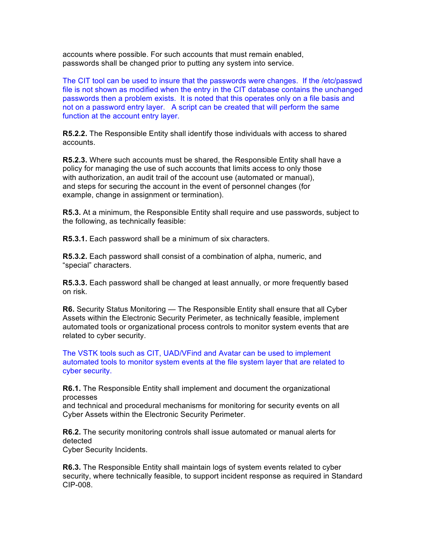accounts where possible. For such accounts that must remain enabled, passwords shall be changed prior to putting any system into service.

The CIT tool can be used to insure that the passwords were changes. If the /etc/passwd file is not shown as modified when the entry in the CIT database contains the unchanged passwords then a problem exists. It is noted that this operates only on a file basis and not on a password entry layer. A script can be created that will perform the same function at the account entry layer.

**R5.2.2.** The Responsible Entity shall identify those individuals with access to shared accounts.

**R5.2.3.** Where such accounts must be shared, the Responsible Entity shall have a policy for managing the use of such accounts that limits access to only those with authorization, an audit trail of the account use (automated or manual), and steps for securing the account in the event of personnel changes (for example, change in assignment or termination).

**R5.3.** At a minimum, the Responsible Entity shall require and use passwords, subject to the following, as technically feasible:

**R5.3.1.** Each password shall be a minimum of six characters.

**R5.3.2.** Each password shall consist of a combination of alpha, numeric, and "special" characters.

**R5.3.3.** Each password shall be changed at least annually, or more frequently based on risk.

**R6.** Security Status Monitoring — The Responsible Entity shall ensure that all Cyber Assets within the Electronic Security Perimeter, as technically feasible, implement automated tools or organizational process controls to monitor system events that are related to cyber security.

The VSTK tools such as CIT, UAD/VFind and Avatar can be used to implement automated tools to monitor system events at the file system layer that are related to cyber security.

**R6.1.** The Responsible Entity shall implement and document the organizational processes

and technical and procedural mechanisms for monitoring for security events on all Cyber Assets within the Electronic Security Perimeter.

**R6.2.** The security monitoring controls shall issue automated or manual alerts for detected

Cyber Security Incidents.

**R6.3.** The Responsible Entity shall maintain logs of system events related to cyber security, where technically feasible, to support incident response as required in Standard CIP-008.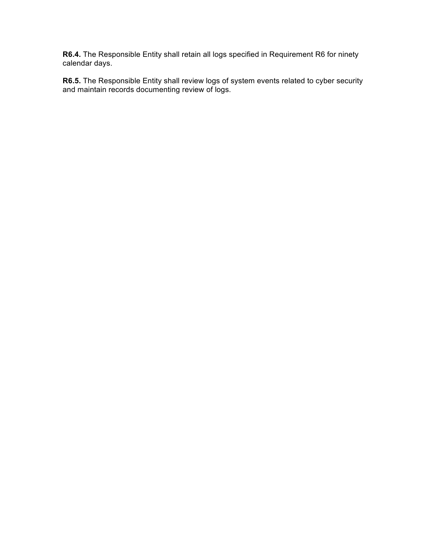**R6.4.** The Responsible Entity shall retain all logs specified in Requirement R6 for ninety calendar days.

**R6.5.** The Responsible Entity shall review logs of system events related to cyber security and maintain records documenting review of logs.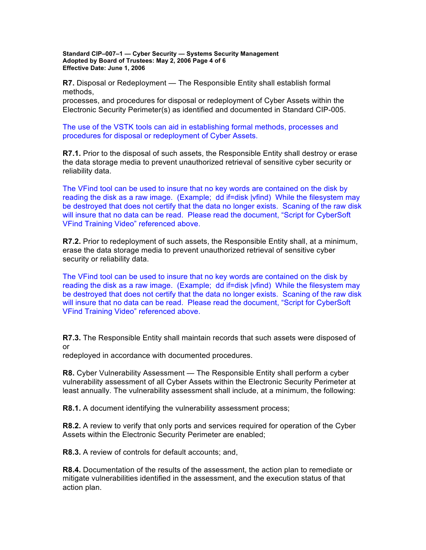**Standard CIP–007–1 — Cyber Security — Systems Security Management Adopted by Board of Trustees: May 2, 2006 Page 4 of 6 Effective Date: June 1, 2006**

**R7.** Disposal or Redeployment — The Responsible Entity shall establish formal methods,

processes, and procedures for disposal or redeployment of Cyber Assets within the Electronic Security Perimeter(s) as identified and documented in Standard CIP-005.

The use of the VSTK tools can aid in establishing formal methods, processes and procedures for disposal or redeployment of Cyber Assets.

**R7.1.** Prior to the disposal of such assets, the Responsible Entity shall destroy or erase the data storage media to prevent unauthorized retrieval of sensitive cyber security or reliability data.

The VFind tool can be used to insure that no key words are contained on the disk by reading the disk as a raw image. (Example; dd if=disk |vfind) While the filesystem may be destroyed that does not certify that the data no longer exists. Scaning of the raw disk will insure that no data can be read. Please read the document, "Script for CyberSoft VFind Training Video" referenced above.

**R7.2.** Prior to redeployment of such assets, the Responsible Entity shall, at a minimum, erase the data storage media to prevent unauthorized retrieval of sensitive cyber security or reliability data.

The VFind tool can be used to insure that no key words are contained on the disk by reading the disk as a raw image. (Example; dd if=disk |vfind) While the filesystem may be destroyed that does not certify that the data no longer exists. Scaning of the raw disk will insure that no data can be read. Please read the document, "Script for CyberSoft VFind Training Video" referenced above.

**R7.3.** The Responsible Entity shall maintain records that such assets were disposed of or

redeployed in accordance with documented procedures.

**R8.** Cyber Vulnerability Assessment — The Responsible Entity shall perform a cyber vulnerability assessment of all Cyber Assets within the Electronic Security Perimeter at least annually. The vulnerability assessment shall include, at a minimum, the following:

**R8.1.** A document identifying the vulnerability assessment process;

**R8.2.** A review to verify that only ports and services required for operation of the Cyber Assets within the Electronic Security Perimeter are enabled;

**R8.3.** A review of controls for default accounts; and,

**R8.4.** Documentation of the results of the assessment, the action plan to remediate or mitigate vulnerabilities identified in the assessment, and the execution status of that action plan.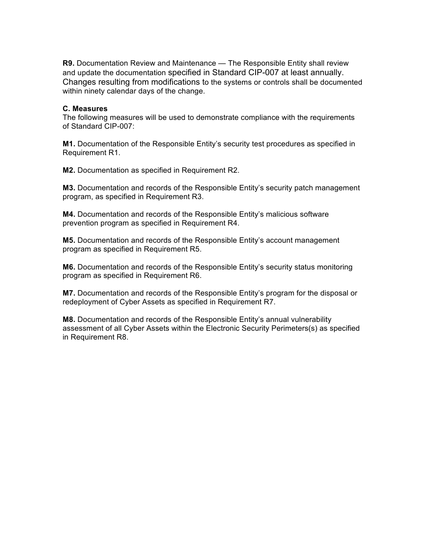**R9.** Documentation Review and Maintenance — The Responsible Entity shall review and update the documentation specified in Standard CIP-007 at least annually. Changes resulting from modifications to the systems or controls shall be documented within ninety calendar days of the change.

### **C. Measures**

The following measures will be used to demonstrate compliance with the requirements of Standard CIP-007:

**M1.** Documentation of the Responsible Entity's security test procedures as specified in Requirement R1.

**M2.** Documentation as specified in Requirement R2.

**M3.** Documentation and records of the Responsible Entity's security patch management program, as specified in Requirement R3.

**M4.** Documentation and records of the Responsible Entity's malicious software prevention program as specified in Requirement R4.

**M5.** Documentation and records of the Responsible Entity's account management program as specified in Requirement R5.

**M6.** Documentation and records of the Responsible Entity's security status monitoring program as specified in Requirement R6.

**M7.** Documentation and records of the Responsible Entity's program for the disposal or redeployment of Cyber Assets as specified in Requirement R7.

**M8.** Documentation and records of the Responsible Entity's annual vulnerability assessment of all Cyber Assets within the Electronic Security Perimeters(s) as specified in Requirement R8.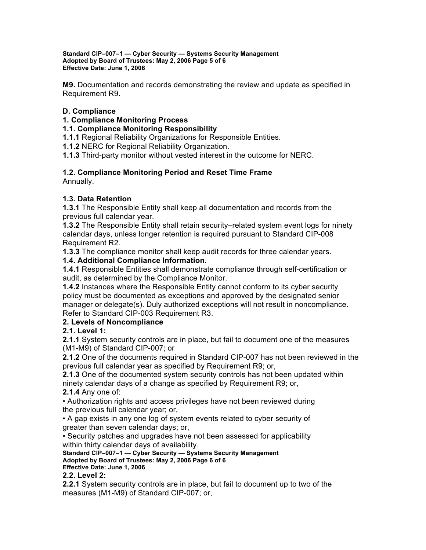**Standard CIP–007–1 — Cyber Security — Systems Security Management Adopted by Board of Trustees: May 2, 2006 Page 5 of 6 Effective Date: June 1, 2006**

**M9.** Documentation and records demonstrating the review and update as specified in Requirement R9.

# **D. Compliance**

### **1. Compliance Monitoring Process**

### **1.1. Compliance Monitoring Responsibility**

**1.1.1** Regional Reliability Organizations for Responsible Entities.

**1.1.2** NERC for Regional Reliability Organization.

**1.1.3** Third-party monitor without vested interest in the outcome for NERC.

# **1.2. Compliance Monitoring Period and Reset Time Frame**

Annually.

# **1.3. Data Retention**

**1.3.1** The Responsible Entity shall keep all documentation and records from the previous full calendar year.

**1.3.2** The Responsible Entity shall retain security–related system event logs for ninety calendar days, unless longer retention is required pursuant to Standard CIP-008 Requirement R2.

**1.3.3** The compliance monitor shall keep audit records for three calendar years.

### **1.4. Additional Compliance Information.**

**1.4.1** Responsible Entities shall demonstrate compliance through self-certification or audit, as determined by the Compliance Monitor.

**1.4.2** Instances where the Responsible Entity cannot conform to its cyber security policy must be documented as exceptions and approved by the designated senior manager or delegate(s). Duly authorized exceptions will not result in noncompliance. Refer to Standard CIP-003 Requirement R3.

### **2. Levels of Noncompliance**

**2.1. Level 1:**

**2.1.1** System security controls are in place, but fail to document one of the measures (M1-M9) of Standard CIP-007; or

**2.1.2** One of the documents required in Standard CIP-007 has not been reviewed in the previous full calendar year as specified by Requirement R9; or,

**2.1.3** One of the documented system security controls has not been updated within ninety calendar days of a change as specified by Requirement R9; or,

### **2.1.4** Any one of:

• Authorization rights and access privileges have not been reviewed during the previous full calendar year; or,

• A gap exists in any one log of system events related to cyber security of greater than seven calendar days; or,

• Security patches and upgrades have not been assessed for applicability within thirty calendar days of availability.

**Standard CIP–007–1 — Cyber Security — Systems Security Management Adopted by Board of Trustees: May 2, 2006 Page 6 of 6 Effective Date: June 1, 2006**

### **2.2. Level 2:**

**2.2.1** System security controls are in place, but fail to document up to two of the measures (M1-M9) of Standard CIP-007; or,